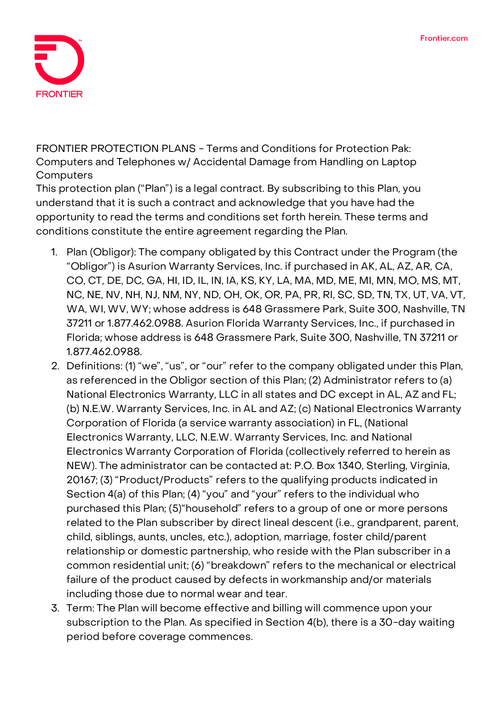

**FRONTIER PROTECTION PLANS - Terms and Conditions for Protection Pak: Computers and Telephones w/ Accidental Damage from Handling on Laptop Computers**

This protection plan ("Plan") is a legal contract. By subscribing to this Plan, you understand that it is such a contract and acknowledge that you have had the opportunity to read the terms and conditions set forth herein. These terms and conditions constitute the entire agreement regarding the Plan.

- 1. **Plan (Obligor):** The company obligated by this Contract under the Program (the "Obligor") is Asurion Warranty Services, Inc. if purchased in AK, AL, AZ, AR, CA, CO, CT, DE, DC, GA, HI, ID, IL, IN, IA, KS, KY, LA, MA, MD, ME, MI, MN, MO, MS, MT, NC, NE, NV, NH, NJ, NM, NY, ND, OH, OK, OR, PA, PR, RI, SC, SD, TN, TX, UT, VA, VT, WA, WI, WV, WY; whose address is 648 Grassmere Park, Suite 300, Nashville, TN 37211 or 1.877.462.0988. Asurion Florida Warranty Services, Inc., if purchased in Florida; whose address is 648 Grassmere Park, Suite 300, Nashville, TN 37211 or 1.877.462.0988.
- 2. **Definitions:** (1) "we", "us", or "our" refer to the company obligated under this Plan, as referenced in the Obligor section of this Plan; (2) Administrator refers to (a) National Electronics Warranty, LLC in all states and DC except in AL, AZ and FL; (b) N.E.W. Warranty Services, Inc. in AL and AZ; (c) National Electronics Warranty Corporation of Florida (a service warranty association) in FL, (National Electronics Warranty, LLC, N.E.W. Warranty Services, Inc. and National Electronics Warranty Corporation of Florida (collectively referred to herein as NEW). The administrator can be contacted at: P.O. Box 1340, Sterling, Virginia, 20167; (3) "Product/Products" refers to the qualifying products indicated in Section 4(a) of this Plan; (4) "you" and "your" refers to the individual who purchased this Plan; (5)"household" refers to a group of one or more persons related to the Plan subscriber by direct lineal descent (i.e., grandparent, parent, child, siblings, aunts, uncles, etc.), adoption, marriage, foster child/parent relationship or domestic partnership, who reside with the Plan subscriber in a common residential unit; (6) "breakdown" refers to the mechanical or electrical failure of the product caused by defects in workmanship and/or materials including those due to normal wear and tear.
- 3. **Term:** The Plan will become effective and billing will commence upon your subscription to the Plan. **As specified in Section 4(b), there is a 30-day waiting period before coverage commences.**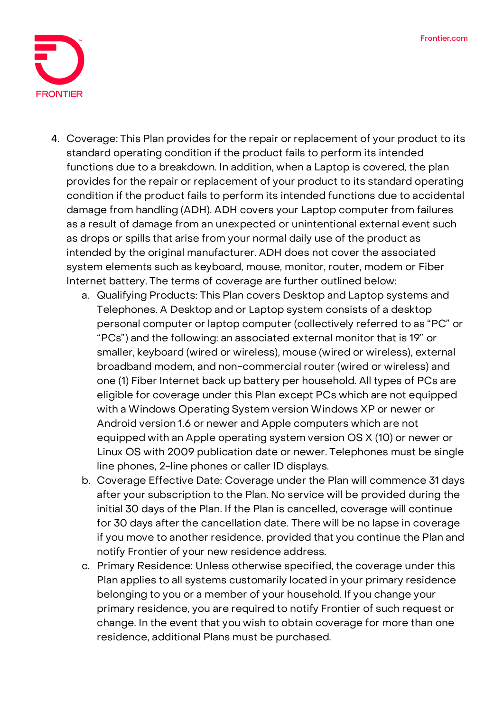

- 4. **Coverage:** This Plan provides for the repair or replacement of your product to its standard operating condition if the product fails to perform its intended functions due to a breakdown. In addition, when a Laptop is covered, the plan provides for the repair or replacement of your product to its standard operating condition if the product fails to perform its intended functions due to accidental damage from handling (ADH). ADH covers your Laptop computer from failures as a result of damage from an unexpected or unintentional external event such as drops or spills that arise from your normal daily use of the product as intended by the original manufacturer. ADH does not cover the associated system elements such as keyboard, mouse, monitor, router, modem or Fiber Internet battery. The terms of coverage are further outlined below:
	- a. Qualifying Products: This Plan covers Desktop and Laptop systems and Telephones. A Desktop and or Laptop system consists of a desktop personal computer or laptop computer (collectively referred to as "PC" or "PCs") and the following: an associated external monitor that is 19" or smaller, keyboard (wired or wireless), mouse (wired or wireless), external broadband modem, and non-commercial router (wired or wireless) and one (1) Fiber Internet back up battery per household. All types of PCs are eligible for coverage under this Plan except PCs which are not equipped with a Windows Operating System version Windows XP or newer or Android version 1.6 or newer and Apple computers which are not equipped with an Apple operating system version OS X (10) or newer or Linux OS with 2009 publication date or newer. Telephones must be single line phones, 2-line phones or caller ID displays.
	- b. Coverage Effective Date: **Coverage under the Plan will commence 31 days after your subscription to the Plan. No service will be provided during the initial 30 days of the Plan. If the Plan is cancelled, coverage will continue for 30 days after the cancellation date.** There will be no lapse in coverage if you move to another residence, provided that you continue the Plan and notify Frontier of your new residence address.
	- c. Primary Residence: Unless otherwise specified, the coverage under this Plan applies to all systems customarily located in your primary residence belonging to you or a member of your household. If you change your primary residence, you are required to notify Frontier of such request or change. In the event that you wish to obtain coverage for more than one residence, additional Plans must be purchased.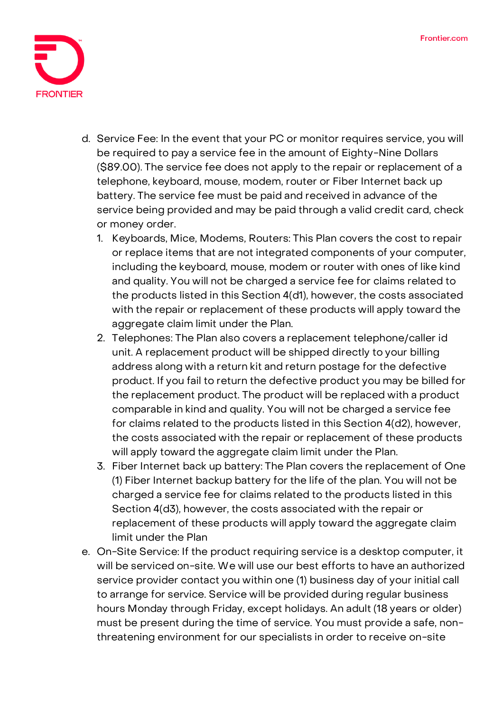

- d. Service Fee: **In the event that your PC or monitor requires service, you will be required to pay a service fee in the amount of Eighty-Nine Dollars (\$89.00).** The service fee does not apply to the repair or replacement of a telephone, keyboard, mouse, modem, router or Fiber Internet back up battery. The service fee must be paid and received in advance of the service being provided and may be paid through a valid credit card, check or money order.
	- 1. Keyboards, Mice, Modems, Routers: This Plan covers the cost to repair or replace items that are not integrated components of your computer, including the keyboard, mouse, modem or router with ones of like kind and quality. You will not be charged a service fee for claims related to the products listed in this Section 4(d1), however, the costs associated with the repair or replacement of these products will apply toward the aggregate claim limit under the Plan.
	- 2. Telephones: The Plan also covers a replacement telephone/caller id unit. A replacement product will be shipped directly to your billing address along with a return kit and return postage for the defective product. If you fail to return the defective product you may be billed for the replacement product. The product will be replaced with a product comparable in kind and quality. You will not be charged a service fee for claims related to the products listed in this Section 4(d2), however, the costs associated with the repair or replacement of these products will apply toward the aggregate claim limit under the Plan.
	- 3. Fiber Internet back up battery: The Plan covers the replacement of One (1) Fiber Internet backup battery for the life of the plan. You will not be charged a service fee for claims related to the products listed in this Section 4(d3), however, the costs associated with the repair or replacement of these products will apply toward the aggregate claim limit under the Plan
- e. On-Site Service: If the product requiring service is a desktop computer, it will be serviced on-site. We will use our best efforts to have an authorized service provider contact you within one (1) business day of your initial call to arrange for service. Service will be provided during regular business hours Monday through Friday, except holidays. An adult (18 years or older) must be present during the time of service. You must provide a safe, nonthreatening environment for our specialists in order to receive on-site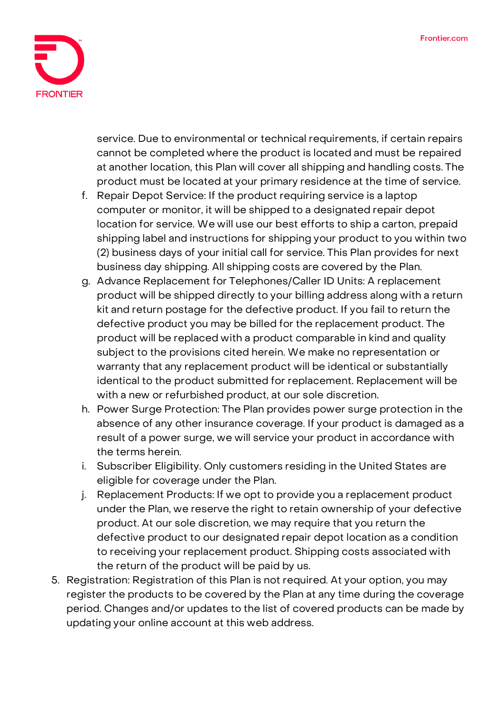

service. Due to environmental or technical requirements, if certain repairs cannot be completed where the product is located and must be repaired at another location, this Plan will cover all shipping and handling costs. The product must be located at your primary residence at the time of service.

- f. Repair Depot Service: If the product requiring service is a laptop computer or monitor, it will be shipped to a designated repair depot location for service. We will use our best efforts to ship a carton, prepaid shipping label and instructions for shipping your product to you within two (2) business days of your initial call for service. This Plan provides for next business day shipping. All shipping costs are covered by the Plan.
- g. Advance Replacement for Telephones/Caller ID Units: A replacement product will be shipped directly to your billing address along with a return kit and return postage for the defective product. If you fail to return the defective product you may be billed for the replacement product. The product will be replaced with a product comparable in kind and quality subject to the provisions cited herein. We make no representation or warranty that any replacement product will be identical or substantially identical to the product submitted for replacement. Replacement will be with a new or refurbished product, at our sole discretion.
- h. Power Surge Protection: The Plan provides power surge protection in the absence of any other insurance coverage. If your product is damaged as a result of a power surge, we will service your product in accordance with the terms herein.
- i. Subscriber Eligibility. Only customers residing in the United States are eligible for coverage under the Plan.
- j. Replacement Products: If we opt to provide you a replacement product under the Plan, we reserve the right to retain ownership of your defective product. At our sole discretion, we may require that you return the defective product to our designated repair depot location as a condition to receiving your replacement product. Shipping costs associated with the return of the product will be paid by us.
- 5. **Registration:** Registration of this Plan is not required. At your option, you may register the products to be covered by the Plan at any time during the coverage period. Changes and/or updates to the list of covered products can be made by updating your online account at this web address.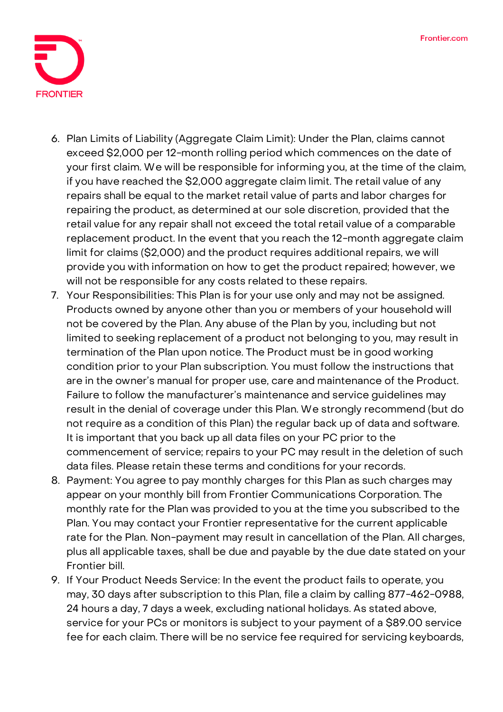

- 6. **Plan Limits of Liability (Aggregate Claim Limit):** Under the Plan, claims cannot exceed \$2,000 per 12-month rolling period which commences on the date of your first claim. We will be responsible for informing you, at the time of the claim, if you have reached the \$2,000 aggregate claim limit. The retail value of any repairs shall be equal to the market retail value of parts and labor charges for repairing the product, as determined at our sole discretion, provided that the retail value for any repair shall not exceed the total retail value of a comparable replacement product. In the event that you reach the 12-month aggregate claim limit for claims (\$2,000) and the product requires additional repairs, we will provide you with information on how to get the product repaired; however, we will not be responsible for any costs related to these repairs.
- 7. **Your Responsibilities:** This Plan is for your use only and may not be assigned. Products owned by anyone other than you or members of your household will not be covered by the Plan. Any abuse of the Plan by you, including but not limited to seeking replacement of a product not belonging to you, may result in termination of the Plan upon notice. The Product must be in good working condition prior to your Plan subscription. You must follow the instructions that are in the owner's manual for proper use, care and maintenance of the Product. Failure to follow the manufacturer's maintenance and service guidelines may result in the denial of coverage under this Plan. We strongly recommend (but do not require as a condition of this Plan) the regular back up of data and software. It is important that you back up all data files on your PC prior to the commencement of service; repairs to your PC may result in the deletion of such data files. Please retain these terms and conditions for your records.
- 8. **Payment:** You agree to pay monthly charges for this Plan as such charges may appear on your monthly bill from Frontier Communications Corporation. The monthly rate for the Plan was provided to you at the time you subscribed to the Plan. You may contact your Frontier representative for the current applicable rate for the Plan. Non-payment may result in cancellation of the Plan. All charges, plus all applicable taxes, shall be due and payable by the due date stated on your Frontier bill.
- 9. **If Your Product Needs Service:** In the event the product fails to operate, you may, 30 days after subscription to this Plan, file a claim by calling 877-462-0988, 24 hours a day, 7 days a week, excluding national holidays. As stated above, service for your PCs or monitors is subject to your payment of a \$89.00 service fee for each claim. There will be no service fee required for servicing keyboards,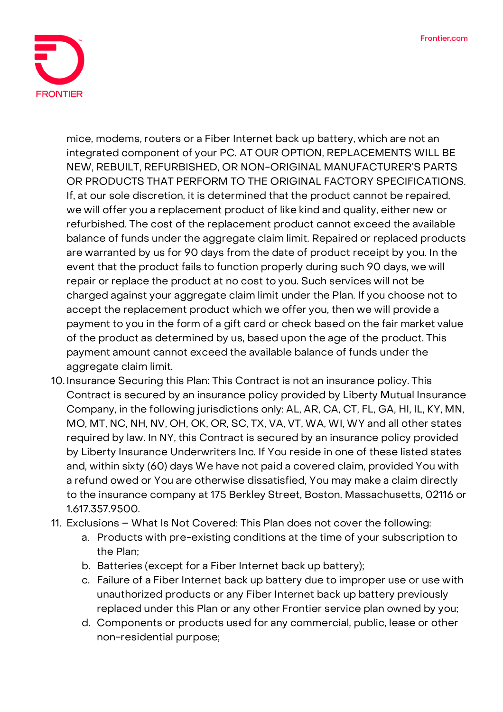

mice, modems, routers or a Fiber Internet back up battery, which are not an integrated component of your PC. **AT OUR OPTION, REPLACEMENTS WILL BE NEW, REBUILT, REFURBISHED, OR NON-ORIGINAL MANUFACTURER'S PARTS OR PRODUCTS THAT PERFORM TO THE ORIGINAL FACTORY SPECIFICATIONS.**  If, at our sole discretion, it is determined that the product cannot be repaired, we will offer you a replacement product of like kind and quality, either new or refurbished. The cost of the replacement product cannot exceed the available balance of funds under the aggregate claim limit. Repaired or replaced products are warranted by us for 90 days from the date of product receipt by you. In the event that the product fails to function properly during such 90 days, we will repair or replace the product at no cost to you. Such services will not be charged against your aggregate claim limit under the Plan. If you choose not to accept the replacement product which we offer you, then we will provide a payment to you in the form of a gift card or check based on the fair market value of the product as determined by us, based upon the age of the product. This payment amount cannot exceed the available balance of funds under the aggregate claim limit.

- 10. **Insurance Securing this Plan:** This Contract is not an insurance policy. This Contract is secured by an insurance policy provided by Liberty Mutual Insurance Company, in the following jurisdictions only: AL, AR, CA, CT, FL, GA, HI, IL, KY, MN, MO, MT, NC, NH, NV, OH, OK, OR, SC, TX, VA, VT, WA, WI, WY and all other states required by law. In NY, this Contract is secured by an insurance policy provided by Liberty Insurance Underwriters Inc. If You reside in one of these listed states and, within sixty (60) days We have not paid a covered claim, provided You with a refund owed or You are otherwise dissatisfied, You may make a claim directly to the insurance company at 175 Berkley Street, Boston, Massachusetts, 02116 or 1.617.357.9500.
- 11. **Exclusions – What Is Not Covered:** This Plan does not cover the following:
	- a. Products with pre-existing conditions at the time of your subscription to the Plan;
	- b. Batteries (except for a Fiber Internet back up battery);
	- c. Failure of a Fiber Internet back up battery due to improper use or use with unauthorized products or any Fiber Internet back up battery previously replaced under this Plan or any other Frontier service plan owned by you;
	- d. Components or products used for any commercial, public, lease or other non-residential purpose;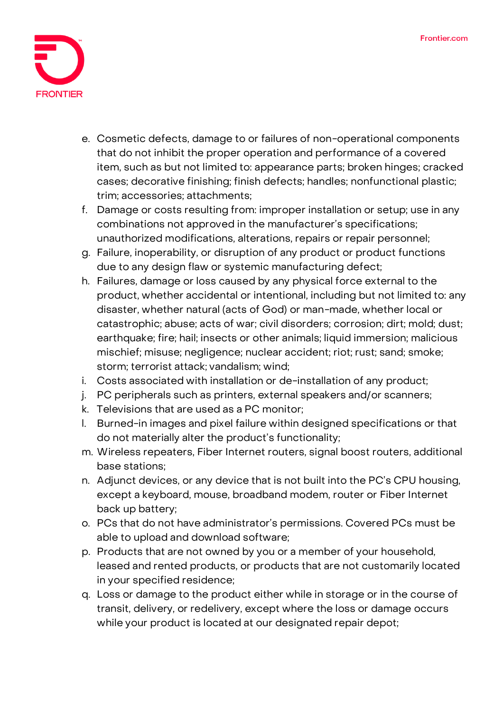

- e. Cosmetic defects, damage to or failures of non-operational components that do not inhibit the proper operation and performance of a covered item, such as but not limited to: appearance parts; broken hinges; cracked cases; decorative finishing; finish defects; handles; nonfunctional plastic; trim; accessories; attachments;
- f. Damage or costs resulting from: improper installation or setup; use in any combinations not approved in the manufacturer's specifications; unauthorized modifications, alterations, repairs or repair personnel;
- g. Failure, inoperability, or disruption of any product or product functions due to any design flaw or systemic manufacturing defect;
- h. Failures, damage or loss caused by any physical force external to the product, whether accidental or intentional, including but not limited to: any disaster, whether natural (acts of God) or man-made, whether local or catastrophic; abuse; acts of war; civil disorders; corrosion; dirt; mold; dust; earthquake; fire; hail; insects or other animals; liquid immersion; malicious mischief; misuse; negligence; nuclear accident; riot; rust; sand; smoke; storm; terrorist attack; vandalism; wind;
- i. Costs associated with installation or de-installation of any product;
- j. PC peripherals such as printers, external speakers and/or scanners;
- k. Televisions that are used as a PC monitor;
- l. Burned-in images and pixel failure within designed specifications or that do not materially alter the product's functionality;
- m. Wireless repeaters, Fiber Internet routers, signal boost routers, additional base stations;
- n. Adjunct devices, or any device that is not built into the PC's CPU housing, except a keyboard, mouse, broadband modem, router or Fiber Internet back up battery;
- o. PCs that do not have administrator's permissions. Covered PCs must be able to upload and download software;
- p. Products that are not owned by you or a member of your household, leased and rented products, or products that are not customarily located in your specified residence;
- q. Loss or damage to the product either while in storage or in the course of transit, delivery, or redelivery, except where the loss or damage occurs while your product is located at our designated repair depot;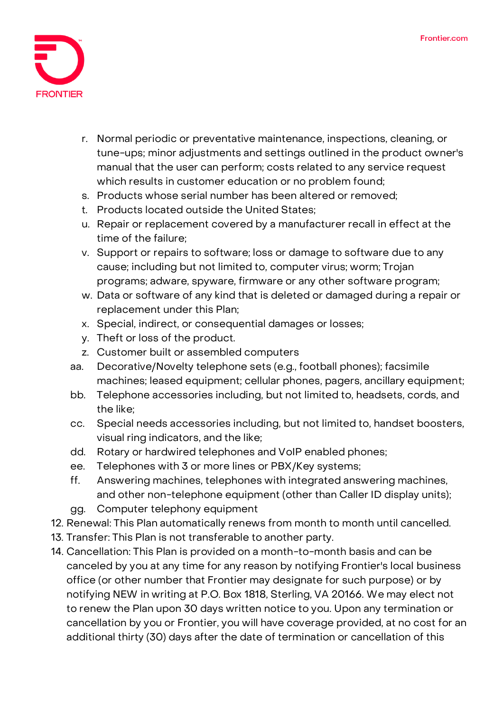

- r. Normal periodic or preventative maintenance, inspections, cleaning, or tune-ups; minor adjustments and settings outlined in the product owner's manual that the user can perform; costs related to any service request which results in customer education or no problem found;
- s. Products whose serial number has been altered or removed;
- t. Products located outside the United States;
- u. Repair or replacement covered by a manufacturer recall in effect at the time of the failure;
- v. Support or repairs to software; loss or damage to software due to any cause; including but not limited to, computer virus; worm; Trojan programs; adware, spyware, firmware or any other software program;
- w. Data or software of any kind that is deleted or damaged during a repair or replacement under this Plan;
- x. Special, indirect, or consequential damages or losses;
- y. Theft or loss of the product.
- z. Customer built or assembled computers
- aa. Decorative/Novelty telephone sets (e.g., football phones); facsimile machines; leased equipment; cellular phones, pagers, ancillary equipment;
- bb. Telephone accessories including, but not limited to, headsets, cords, and the like;
- cc. Special needs accessories including, but not limited to, handset boosters, visual ring indicators, and the like;
- dd. Rotary or hardwired telephones and VoIP enabled phones;
- ee. Telephones with 3 or more lines or PBX/Key systems;
- ff. Answering machines, telephones with integrated answering machines, and other non-telephone equipment (other than Caller ID display units);
- gg. Computer telephony equipment
- 12. **Renewal:** This Plan automatically renews from month to month until cancelled.
- 13. **Transfer:** This Plan is not transferable to another party.
- 14. **Cancellation:** This Plan is provided on a month-to-month basis and can be canceled by you at any time for any reason by notifying Frontier's local business office (or other number that Frontier may designate for such purpose) or by notifying NEW in writing at P.O. Box 1818, Sterling, VA 20166. We may elect not to renew the Plan upon 30 days written notice to you. Upon any termination or cancellation by you or Frontier, you will have coverage provided, at no cost for an additional thirty (30) days after the date of termination or cancellation of this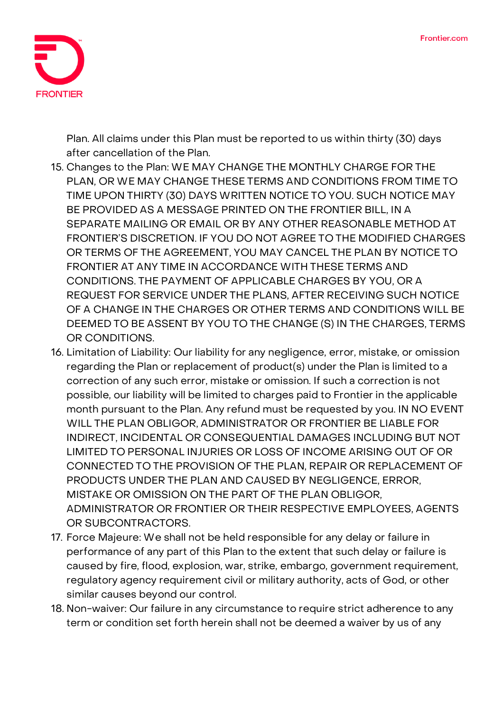

Plan. All claims under this Plan must be reported to us within thirty (30) days after cancellation of the Plan.

- 15. **Changes to the Plan:** WE MAY CHANGE THE MONTHLY CHARGE FOR THE PLAN, OR WE MAY CHANGE THESE TERMS AND CONDITIONS FROM TIME TO TIME UPON THIRTY (30) DAYS WRITTEN NOTICE TO YOU. SUCH NOTICE MAY BE PROVIDED AS A MESSAGE PRINTED ON THE FRONTIER BILL, IN A SEPARATE MAILING OR EMAIL OR BY ANY OTHER REASONABLE METHOD AT FRONTIER'S DISCRETION. IF YOU DO NOT AGREE TO THE MODIFIED CHARGES OR TERMS OF THE AGREEMENT, YOU MAY CANCEL THE PLAN BY NOTICE TO FRONTIER AT ANY TIME IN ACCORDANCE WITH THESE TERMS AND CONDITIONS. THE PAYMENT OF APPLICABLE CHARGES BY YOU, OR A REQUEST FOR SERVICE UNDER THE PLANS, AFTER RECEIVING SUCH NOTICE OF A CHANGE IN THE CHARGES OR OTHER TERMS AND CONDITIONS WILL BE DEEMED TO BE ASSENT BY YOU TO THE CHANGE (S) IN THE CHARGES, TERMS OR CONDITIONS.
- 16. **Limitation of Liability:** Our liability for any negligence, error, mistake, or omission regarding the Plan or replacement of product(s) under the Plan is limited to a correction of any such error, mistake or omission. If such a correction is not possible, our liability will be limited to charges paid to Frontier in the applicable month pursuant to the Plan. Any refund must be requested by you. IN NO EVENT WILL THE PLAN OBLIGOR, ADMINISTRATOR OR FRONTIER BE LIABLE FOR INDIRECT, INCIDENTAL OR CONSEQUENTIAL DAMAGES INCLUDING BUT NOT LIMITED TO PERSONAL INJURIES OR LOSS OF INCOME ARISING OUT OF OR CONNECTED TO THE PROVISION OF THE PLAN, REPAIR OR REPLACEMENT OF PRODUCTS UNDER THE PLAN AND CAUSED BY NEGLIGENCE, ERROR, MISTAKE OR OMISSION ON THE PART OF THE PLAN OBLIGOR, ADMINISTRATOR OR FRONTIER OR THEIR RESPECTIVE EMPLOYEES, AGENTS OR SUBCONTRACTORS.
- 17. **Force Majeure:** We shall not be held responsible for any delay or failure in performance of any part of this Plan to the extent that such delay or failure is caused by fire, flood, explosion, war, strike, embargo, government requirement, regulatory agency requirement civil or military authority, acts of God, or other similar causes beyond our control.
- 18. **Non-waiver:** Our failure in any circumstance to require strict adherence to any term or condition set forth herein shall not be deemed a waiver by us of any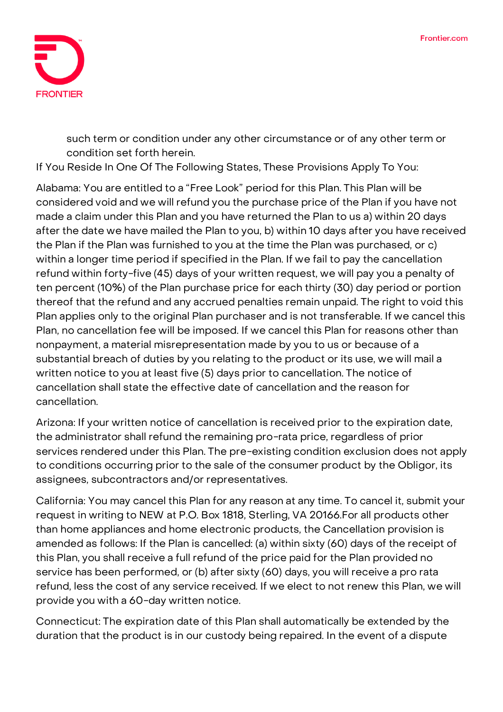

such term or condition under any other circumstance or of any other term or condition set forth herein.

**If You Reside In One Of The Following States, These Provisions Apply To You:**

**Alabama:** You are entitled to a "Free Look" period for this Plan. This Plan will be considered void and we will refund you the purchase price of the Plan if you have not made a claim under this Plan and you have returned the Plan to us a) within 20 days after the date we have mailed the Plan to you, b) within 10 days after you have received the Plan if the Plan was furnished to you at the time the Plan was purchased, or c) within a longer time period if specified in the Plan. If we fail to pay the cancellation refund within forty-five (45) days of your written request, we will pay you a penalty of ten percent (10%) of the Plan purchase price for each thirty (30) day period or portion thereof that the refund and any accrued penalties remain unpaid. The right to void this Plan applies only to the original Plan purchaser and is not transferable. If we cancel this Plan, no cancellation fee will be imposed. If we cancel this Plan for reasons other than nonpayment, a material misrepresentation made by you to us or because of a substantial breach of duties by you relating to the product or its use, we will mail a written notice to you at least five (5) days prior to cancellation. The notice of cancellation shall state the effective date of cancellation and the reason for cancellation.

**Arizona:** If your written notice of cancellation is received prior to the expiration date, the administrator shall refund the remaining pro-rata price, regardless of prior services rendered under this Plan. The pre-existing condition exclusion does not apply to conditions occurring prior to the sale of the consumer product by the Obligor, its assignees, subcontractors and/or representatives.

**California:** You may cancel this Plan for any reason at any time. To cancel it, submit your request in writing to NEW at P.O. Box 1818, Sterling, VA 20166.For all products other than home appliances and home electronic products, the Cancellation provision is amended as follows: If the Plan is cancelled: (a) within sixty (60) days of the receipt of this Plan, you shall receive a full refund of the price paid for the Plan provided no service has been performed, or (b) after sixty (60) days, you will receive a pro rata refund, less the cost of any service received. If we elect to not renew this Plan, we will provide you with a 60-day written notice.

**Connecticut:** The expiration date of this Plan shall automatically be extended by the duration that the product is in our custody being repaired. In the event of a dispute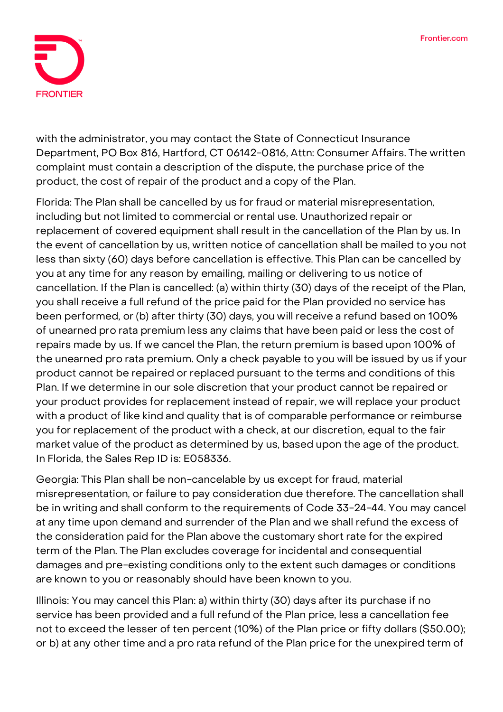

with the administrator, you may contact the State of Connecticut Insurance Department, PO Box 816, Hartford, CT 06142-0816, Attn: Consumer Affairs. The written complaint must contain a description of the dispute, the purchase price of the product, the cost of repair of the product and a copy of the Plan.

**Florida:** The Plan shall be cancelled by us for fraud or material misrepresentation, including but not limited to commercial or rental use. Unauthorized repair or replacement of covered equipment shall result in the cancellation of the Plan by us. In the event of cancellation by us, written notice of cancellation shall be mailed to you not less than sixty (60) days before cancellation is effective. This Plan can be cancelled by you at any time for any reason by emailing, mailing or delivering to us notice of cancellation. If the Plan is cancelled: (a) within thirty (30) days of the receipt of the Plan, you shall receive a full refund of the price paid for the Plan provided no service has been performed, or (b) after thirty (30) days, you will receive a refund based on 100% of unearned pro rata premium less any claims that have been paid or less the cost of repairs made by us. If we cancel the Plan, the return premium is based upon 100% of the unearned pro rata premium. Only a check payable to you will be issued by us if your product cannot be repaired or replaced pursuant to the terms and conditions of this Plan. If we determine in our sole discretion that your product cannot be repaired or your product provides for replacement instead of repair, we will replace your product with a product of like kind and quality that is of comparable performance or reimburse you for replacement of the product with a check, at our discretion, equal to the fair market value of the product as determined by us, based upon the age of the product. In Florida, the Sales Rep ID is: E058336.

**Georgia:** This Plan shall be non-cancelable by us except for fraud, material misrepresentation, or failure to pay consideration due therefore. The cancellation shall be in writing and shall conform to the requirements of Code 33-24-44. You may cancel at any time upon demand and surrender of the Plan and we shall refund the excess of the consideration paid for the Plan above the customary short rate for the expired term of the Plan. The Plan excludes coverage for incidental and consequential damages and pre-existing conditions only to the extent such damages or conditions are known to you or reasonably should have been known to you.

**Illinois:** You may cancel this Plan: a) within thirty (30) days after its purchase if no service has been provided and a full refund of the Plan price, less a cancellation fee not to exceed the lesser of ten percent (10%) of the Plan price or fifty dollars (\$50.00); or b) at any other time and a pro rata refund of the Plan price for the unexpired term of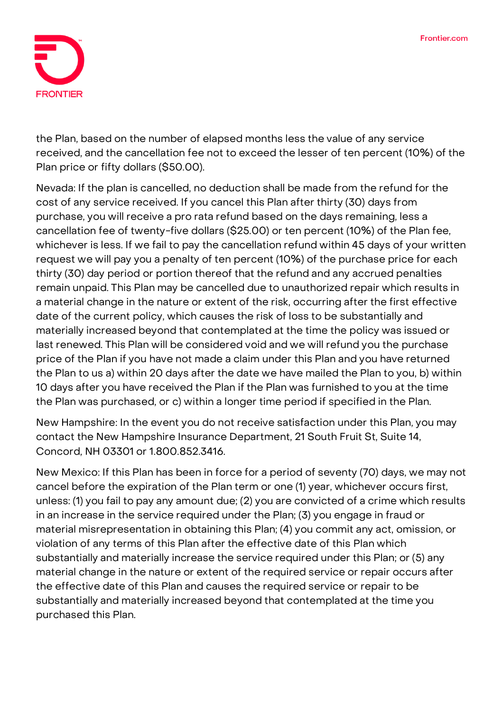

the Plan, based on the number of elapsed months less the value of any service received, and the cancellation fee not to exceed the lesser of ten percent (10%) of the Plan price or fifty dollars (\$50.00).

**Nevada:** If the plan is cancelled, no deduction shall be made from the refund for the cost of any service received. If you cancel this Plan after thirty (30) days from purchase, you will receive a pro rata refund based on the days remaining, less a cancellation fee of twenty-five dollars (\$25.00) or ten percent (10%) of the Plan fee, whichever is less. If we fail to pay the cancellation refund within 45 days of your written request we will pay you a penalty of ten percent (10%) of the purchase price for each thirty (30) day period or portion thereof that the refund and any accrued penalties remain unpaid. This Plan may be cancelled due to unauthorized repair which results in a material change in the nature or extent of the risk, occurring after the first effective date of the current policy, which causes the risk of loss to be substantially and materially increased beyond that contemplated at the time the policy was issued or last renewed. This Plan will be considered void and we will refund you the purchase price of the Plan if you have not made a claim under this Plan and you have returned the Plan to us a) within 20 days after the date we have mailed the Plan to you, b) within 10 days after you have received the Plan if the Plan was furnished to you at the time the Plan was purchased, or c) within a longer time period if specified in the Plan.

**New Hampshire:** In the event you do not receive satisfaction under this Plan, you may contact the New Hampshire Insurance Department, 21 South Fruit St, Suite 14, Concord, NH 03301 or 1.800.852.3416.

**New Mexico:** If this Plan has been in force for a period of seventy (70) days, we may not cancel before the expiration of the Plan term or one (1) year, whichever occurs first, unless: (1) you fail to pay any amount due; (2) you are convicted of a crime which results in an increase in the service required under the Plan; (3) you engage in fraud or material misrepresentation in obtaining this Plan; (4) you commit any act, omission, or violation of any terms of this Plan after the effective date of this Plan which substantially and materially increase the service required under this Plan; or (5) any material change in the nature or extent of the required service or repair occurs after the effective date of this Plan and causes the required service or repair to be substantially and materially increased beyond that contemplated at the time you purchased this Plan.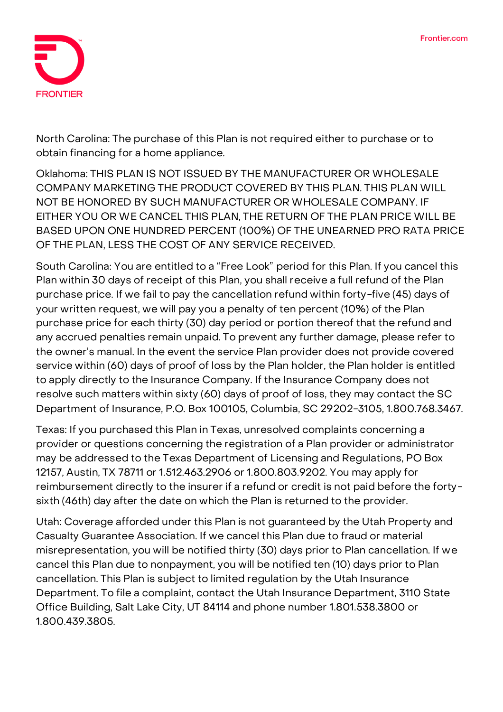

**North Carolina:** The purchase of this Plan is not required either to purchase or to obtain financing for a home appliance.

**Oklahoma:** THIS PLAN IS NOT ISSUED BY THE MANUFACTURER OR WHOLESALE COMPANY MARKETING THE PRODUCT COVERED BY THIS PLAN. THIS PLAN WILL NOT BE HONORED BY SUCH MANUFACTURER OR WHOLESALE COMPANY. IF EITHER YOU OR WE CANCEL THIS PLAN, THE RETURN OF THE PLAN PRICE WILL BE BASED UPON ONE HUNDRED PERCENT (100%) OF THE UNEARNED PRO RATA PRICE OF THE PLAN, LESS THE COST OF ANY SERVICE RECEIVED.

**South Carolina:** You are entitled to a "Free Look" period for this Plan. If you cancel this Plan within 30 days of receipt of this Plan, you shall receive a full refund of the Plan purchase price. If we fail to pay the cancellation refund within forty-five (45) days of your written request, we will pay you a penalty of ten percent (10%) of the Plan purchase price for each thirty (30) day period or portion thereof that the refund and any accrued penalties remain unpaid. To prevent any further damage, please refer to the owner's manual. In the event the service Plan provider does not provide covered service within (60) days of proof of loss by the Plan holder, the Plan holder is entitled to apply directly to the Insurance Company. If the Insurance Company does not resolve such matters within sixty (60) days of proof of loss, they may contact the SC Department of Insurance, P.O. Box 100105, Columbia, SC 29202-3105, 1.800.768.3467.

**Texas:** If you purchased this Plan in Texas, unresolved complaints concerning a provider or questions concerning the registration of a Plan provider or administrator may be addressed to the Texas Department of Licensing and Regulations, PO Box 12157, Austin, TX 78711 or 1.512.463.2906 or 1.800.803.9202. You may apply for reimbursement directly to the insurer if a refund or credit is not paid before the fortysixth (46th) day after the date on which the Plan is returned to the provider.

**Utah:** Coverage afforded under this Plan is not guaranteed by the Utah Property and Casualty Guarantee Association. If we cancel this Plan due to fraud or material misrepresentation, you will be notified thirty (30) days prior to Plan cancellation. If we cancel this Plan due to nonpayment, you will be notified ten (10) days prior to Plan cancellation. This Plan is subject to limited regulation by the Utah Insurance Department. To file a complaint, contact the Utah Insurance Department, 3110 State Office Building, Salt Lake City, UT 84114 and phone number 1.801.538.3800 or 1.800.439.3805.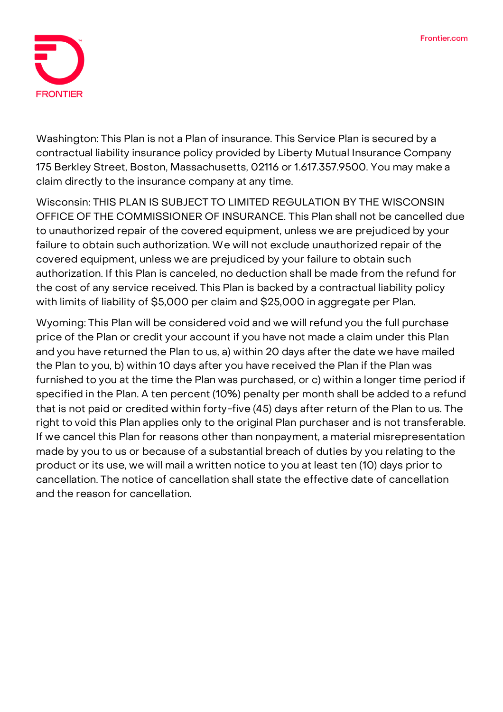

**Washington:** This Plan is not a Plan of insurance. This Service Plan is secured by a contractual liability insurance policy provided by Liberty Mutual Insurance Company 175 Berkley Street, Boston, Massachusetts, 02116 or 1.617.357.9500. You may make a claim directly to the insurance company at any time.

**Wisconsin: THIS PLAN IS SUBJECT TO LIMITED REGULATION BY THE WISCONSIN OFFICE OF THE COMMISSIONER OF INSURANCE.** This Plan shall not be cancelled due to unauthorized repair of the covered equipment, unless we are prejudiced by your failure to obtain such authorization. We will not exclude unauthorized repair of the covered equipment, unless we are prejudiced by your failure to obtain such authorization. If this Plan is canceled, no deduction shall be made from the refund for the cost of any service received. This Plan is backed by a contractual liability policy with limits of liability of \$5,000 per claim and \$25,000 in aggregate per Plan.

**Wyoming:** This Plan will be considered void and we will refund you the full purchase price of the Plan or credit your account if you have not made a claim under this Plan and you have returned the Plan to us, a) within 20 days after the date we have mailed the Plan to you, b) within 10 days after you have received the Plan if the Plan was furnished to you at the time the Plan was purchased, or c) within a longer time period if specified in the Plan. A ten percent (10%) penalty per month shall be added to a refund that is not paid or credited within forty-five (45) days after return of the Plan to us. The right to void this Plan applies only to the original Plan purchaser and is not transferable. If we cancel this Plan for reasons other than nonpayment, a material misrepresentation made by you to us or because of a substantial breach of duties by you relating to the product or its use, we will mail a written notice to you at least ten (10) days prior to cancellation. The notice of cancellation shall state the effective date of cancellation and the reason for cancellation.